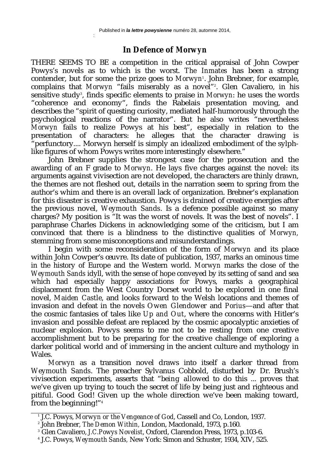:

## **In Defence of** *Morwyn*

THERE SEEMS TO BE a competition in the critical appraisal of John Cowper Powys's novels as to which is the worst. *The Inmates* has been a strong contender, but for some the prize goes to *Morwyn*<sup>1</sup> . John Brebner, for example, complains that *Morwyn* "fails miserably as a novel"<sup>2</sup>. Glen Cavaliero, in his sensitive study<sup>3</sup>, finds specific elements to praise in *Morwyn*: he uses the words "coherence and economy", finds the Rabelais presentation moving, and describes the "spirit of questing curiosity, mediated half-humorously through the psychological reactions of the narrator". But he also writes "nevertheless *Morwyn* fails to realize Powys at his best", especially in relation to the presentation of characters: he alleges that the character drawing is "perfunctory.... Morwyn herself is simply an idealized embodiment of the sylphlike figures of whom Powys writes more interestingly elsewhere."

John Brebner supplies the strongest case for the prosecution and the awarding of an F grade to *Morwyn*. He lays five charges against the novel: its arguments against vivisection are not developed, the characters are thinly drawn, the themes are not fleshed out, details in the narration seem to spring from the author's whim and there is an overall lack of organization. Brebner's explanation for this disaster is creative exhaustion. Powys is drained of creative energies after the previous novel, *Weymouth Sands*. Is a defence possible against so many charges? My position is "It was the worst of novels. It was the best of novels". I paraphrase Charles Dickens in acknowledging some of the criticism, but I am convinced that there is a blindness to the distinctive qualities of *Morwyn,* stemming from some misconceptions and misunderstandings.

I begin with some reconsideration of the form of *Morwyn* and its place within John Cowper's œuvre. Its date of publication, 1937, marks an ominous time in the history of Europe and the Western world. *Morwyn* marks the close of the *Weymouth Sands* idyll, with the sense of hope conveyed by its setting of sand and sea which had especially happy associations for Powys, marks a geographical displacement from the West Country Dorset world to be explored in one final novel, *Maiden Castle*, and looks forward to the Welsh locations and themes of invasion and defeat in the novels *Owen Glendower* and *Porius*—and after that the cosmic fantasies of tales like *Up and Out*, where the concerns with Hitler's invasion and possible defeat are replaced by the cosmic apocalyptic anxieties of nuclear explosion. Powys seems to me not to be resting from one creative accomplishment but to be preparing for the creative challenge of exploring a darker political world and of immersing in the ancient culture and mythology in Wales.

*Morwyn* as a transition novel draws into itself a darker thread from *Weymouth Sands*. The preacher Sylvanus Cobbold, disturbed by Dr. Brush's vivisection experiments, asserts that "*being allowed* to do this ... proves that we've given up trying to touch the secret of life by being just and righteous and pitiful. Good God! Given up the whole direction we've been making toward, from the beginning!"<sup>4</sup>

<sup>1</sup> J.C. Powys, *Morwyn or the Vengeance of God*, Cassell and Co, London, 1937.

<sup>2</sup> John Brebner, *The Demon Within,* London, Macdonald, 1973, p.160.

<sup>3</sup> Glen Cavaliero, *J.C.Powys Novelist*, Oxford, Clarendon Press, 1973, p.103-6.

<sup>4</sup> J.C. Powys, *Weymouth Sands,* New York: Simon and Schuster, 1934, XIV, 525.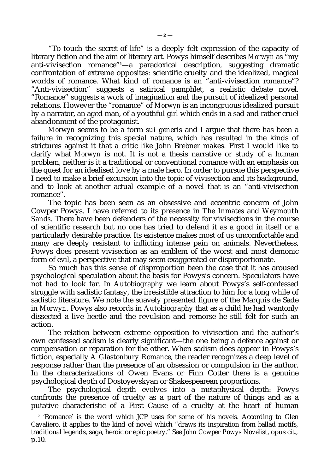"To touch the secret of life" is a deeply felt expression of the capacity of literary fiction and the aim of literary art. Powys himself describes *Morwyn* as "my anti-vivisection romance"5—a paradoxical description, suggesting dramatic confrontation of extreme opposites: scientific cruelty and the idealized, magical worlds of romance. What kind of romance is an "anti-vivisection romance"? "Anti-vivisection" suggests a satirical pamphlet, a realistic debate novel. "Romance" suggests a work of imagination and the pursuit of idealized personal relations. However the "romance" of *Morwyn* is an incongruous idealized pursuit by a narrator, an aged man, of a youthful girl which ends in a sad and rather cruel abandonment of the protagonist.

*Morwyn* seems to be a form *sui generis* and I argue that there has been a failure in recognizing this special nature, which has resulted in the kinds of strictures against it that a critic like John Brebner makes. First I would like to clarify what *Morwyn* is not. It is not a thesis narrative or study of a human problem, neither is it a traditional or conventional romance with an emphasis on the quest for an idealised love by a male hero. In order to pursue this perspective I need to make a brief excursion into the topic of vivisection and its background, and to look at another actual example of a novel that is an "anti-vivisection romance".

The topic has been seen as an obsessive and eccentric concern of John Cowper Powys. I have referred to its presence in *The Inmates* and *Weymouth Sands*. There have been defenders of the necessity for vivisections in the course of scientific research but no one has tried to defend it as a good in itself or a particularly desirable practice. Its existence makes most of us uncomfortable and many are deeply resistant to inflicting intense pain on animals. Nevertheless, Powys does present vivisection as an emblem of the worst and most demonic form of evil, a perspective that may seem exaggerated or disproportionate.

So much has this sense of disproportion been the case that it has aroused psychological speculation about the basis for Powys's concern. Speculators have not had to look far. In *Autobiography* we learn about Powys's self-confessed struggle with sadistic fantasy, the irresistible attraction to him for a long while of sadistic literature. We note the suavely presented figure of the Marquis de Sade in *Morwyn*. Powys also records in *Autobiography* that as a child he had wantonly dissected a live beetle and the revulsion and remorse he still felt for such an action.

The relation between extreme opposition to vivisection and the author's own confessed sadism is clearly significant—the one being a defence against or compensation or reparation for the other. When sadism does appear in Powys's fiction, especially *A Glastonbury Romance*, the reader recognizes a deep level of response rather than the presence of an obsession or compulsion in the author. In the characterizations of Owen Evans or Finn Cotter there is a genuine psychological depth of Dostoyevskyan or Shakespearean proportions.

The psychological depth evolves into a metaphysical depth: Powys confronts the presence of cruelty as a part of the nature of things and as a putative characteristic of a First Cause of a cruelty at the heart of human

<sup>5</sup> 'Romance' is the word which JCP uses for some of his novels. According to Glen Cavaliero, it applies to the kind of novel which "draws its inspiration from ballad motifs, traditional legends, saga, heroic or epic poetry." See *John Cowper Powys Novelist*, opus cit., p.10.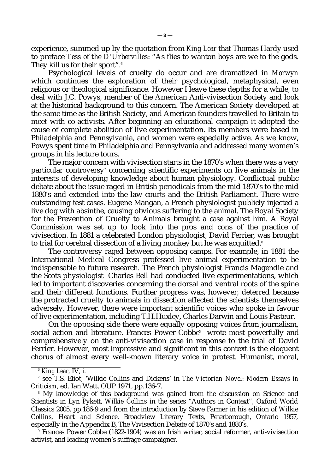experience, summed up by the quotation from *King Lear* that Thomas Hardy used to preface *Tess of the D'Urbervilles*: "As flies to wanton boys are we to the gods. They kill us for their sport".<sup>6</sup>

Psychological levels of cruelty do occur and are dramatized in *Morwyn* which continues the exploration of their psychological, metaphysical, even religious or theological significance. However I leave these depths for a while, to deal with J.C. Powys, member of the American Anti-vivisection Society and look at the historical background to this concern. The American Society developed at the same time as the British Society, and American founders travelled to Britain to meet with co-activists. After beginning an educational campaign it adopted the cause of complete abolition of live experimentation. Its members were based in Philadelphia and Pennsylvania, and women were especially active. As we know, Powys spent time in Philadelphia and Pennsylvania and addressed many women's groups in his lecture tours.

The major concern with vivisection starts in the 1870's when there was a very particular controversy $^{\scriptscriptstyle\prime}$  concerning scientific experiments on live animals in the interests of developing knowledge about human physiology. Conflictual public debate about the issue raged in British periodicals from the mid 1870's to the mid 1880's and extended into the law courts and the British Parliament. There were outstanding test cases. Eugene Mangan, a French physiologist publicly injected a live dog with absinthe, causing obvious suffering to the animal. The Royal Society for the Prevention of Cruelty to Animals brought a case against him. A Royal Commission was set up to look into the pros and cons of the practice of vivisection. In 1881 a celebrated London physiologist, David Ferrier, was brought to trial for cerebral dissection of a living monkey but he was acquitted.<sup>8</sup>

The controversy raged between opposing camps. For example, in 1881 the International Medical Congress professed live animal experimentation to be indispensable to future research. The French physiologist Francis Magendie and the Scots physiologist Charles Bell had conducted live experimentations, which led to important discoveries concerning the dorsal and ventral roots of the spine and their different functions. Further progress was, however, deterred because the protracted cruelty to animals in dissection affected the scientists themselves adversely. However, there were important scientific voices who spoke in favour of live experimentation, including T.H.Huxley, Charles Darwin and Louis Pasteur.

On the opposing side there were equally opposing voices from journalism, social action and literature. Frances Power Cobbe<sup>9</sup> wrote most powerfully and comprehensively on the anti-vivisection case in response to the trial of David Ferrier. However, most impressive and significant in this context is the eloquent chorus of almost every well-known literary voice in protest. Humanist, moral,

9 Frances Power Cobbe (1822-1904) was an Irish writer, social reformer, anti-vivisection activist, and leading women's suffrage campaigner.

<sup>6</sup> *King Lear,* IV, i.

<sup>7</sup> see T.S. Eliot, 'Wilkie Collins and Dickens' in *The Victorian Novel: Modern Essays in Criticism*, ed. Ian Watt, OUP 1971, pp.136-7.

 $^{\circ}$  My knowledge of this background was gained from the discussion on Science and Scientists in Lyn Pykett, *Wilkie Collins* in the series "Authors in Context", Oxford World Classics 2005, pp.186-9 and from the introduction by Steve Farmer in his edition of *Wilkie Collins, Heart and Science*. Broadview Literary Texts, Peterborough, Ontario 1957, especially in the Appendix B, The Vivisection Debate of 1870's and 1880's.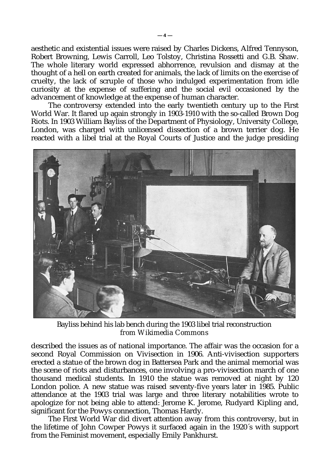aesthetic and existential issues were raised by Charles Dickens, Alfred Tennyson, Robert Browning, Lewis Carroll, Leo Tolstoy, Christina Rossetti and G.B. Shaw. The whole literary world expressed abhorrence, revulsion and dismay at the thought of a hell on earth created for animals, the lack of limits on the exercise of cruelty, the lack of scruple of those who indulged experimentation from idle curiosity at the expense of suffering and the social evil occasioned by the advancement of knowledge at the expense of human character.

The controversy extended into the early twentieth century up to the First World War. It flared up again strongly in 1903-1910 with the so-called Brown Dog Riots. In 1903 William Bayliss of the Department of Physiology, University College, London, was charged with unlicensed dissection of a brown terrier dog. He reacted with a libel trial at the Royal Courts of Justice and the judge presiding



Bayliss behind his lab bench during the 1903 libel trial reconstruction *from Wikimedia Commons*

described the issues as of national importance. The affair was the occasion for a second Royal Commission on Vivisection in 1906. Anti-vivisection supporters erected a statue of the brown dog in Battersea Park and the animal memorial was the scene of riots and disturbances, one involving a pro-vivisection march of one thousand medical students. In 1910 the statue was removed at night by 120 London police. A new statue was raised seventy-five years later in 1985. Public attendance at the 1903 trial was large and three literary notabilities wrote to apologize for not being able to attend: Jerome K. Jerome, Rudyard Kipling and, significant for the Powys connection, Thomas Hardy.

The First World War did divert attention away from this controversy, but in the lifetime of John Cowper Powys it surfaced again in the 1920´s with support from the Feminist movement, especially Emily Pankhurst.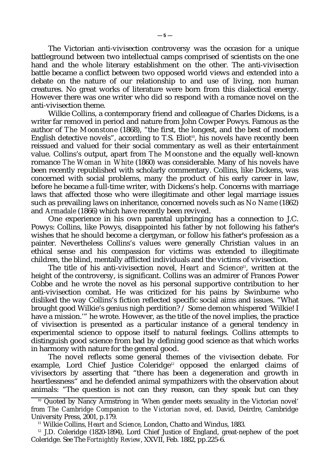The Victorian anti-vivisection controversy was the occasion for a unique battleground between two intellectual camps comprised of scientists on the one hand and the whole literary establishment on the other. The anti-vivisection battle became a conflict between two opposed world views and extended into a debate on the nature of our relationship to and use of living, non human creatures. No great works of literature were born from this dialectical energy. However there was one writer who did so respond with a romance novel on the anti-vivisection theme.

Wilkie Collins, a contemporary friend and colleague of Charles Dickens, is a writer far removed in period and nature from John Cowper Powys. Famous as the author of *The Moonstone* (1868), "the first, the longest, and the best of modern English detective novels", according to T.S. Eliot<sup>10</sup>, his novels have recently been reissued and valued for their social commentary as well as their entertainment value. Collins's output, apart from *The Moonstone* and the equally well-known romance *The Woman in White* (1860) was considerable. Many of his novels have been recently republished with scholarly commentary. Collins, like Dickens, was concerned with social problems, many the product of his early career in law, before he became a full-time writer, with Dickens's help. Concerns with marriage laws that affected those who were illegitimate and other legal marriage issues such as prevailing laws on inheritance, concerned novels such as *No Name* (1862) and *Armadale* (1866) which have recently been revived.

One experience in his own parental upbringing has a connection to J.C. Powys: Collins, like Powys, disappointed his father by not following his father's wishes that he should become a clergyman, or follow his father's profession as a painter. Nevertheless Collins's values were generally Christian values in an ethical sense and his compassion for victims was extended to illegitimate children, the blind, mentally afflicted individuals and the victims of vivisection.

The title of his anti-vivisection novel, *Heart and Science*<sup>11</sup>, written at the height of the controversy, is significant. Collins was an admirer of Frances Power Cobbe and he wrote the novel as his personal supportive contribution to her anti-vivisection combat. He was criticized for his pains by Swinburne who disliked the way Collins's fiction reflected specific social aims and issues. "What brought good Wilkie's genius nigh perdition? / Some demon whispered 'Wilkie! I have a mission.'" he wrote. However, as the title of the novel implies, the practice of vivisection is presented as a particular instance of a general tendency in experimental science to oppose itself to natural feelings. Collins attempts to distinguish good science from bad by defining good science as that which works in harmony with nature for the general good.

The novel reflects some general themes of the vivisection debate. For example, Lord Chief Justice Coleridge<sup>12</sup> opposed the enlarged claims of vivisectors by asserting that "there has been a degeneration and growth in heartlessness" and he defended animal sympathizers with the observation about animals: "The question is not can they reason, can they speak but can they

<sup>&</sup>lt;sup>10</sup> Quoted by Nancy Armstrong in 'When gender meets sexuality in the Victorian novel' from *The Cambridge Companion to the Victorian novel*, ed. David, Deirdre, Cambridge University Press, 2001, p.179.

<sup>11</sup> Wilkie Collins, *Heart and Science*, London, Chatto and Windus, 1883.

<sup>12</sup> J.D. Coleridge (1820-1894), Lord Chief Justice of England, great-nephew of the poet Coleridge. See The *Fortnightly Review*, XXVII, Feb. 1882, pp.225-6.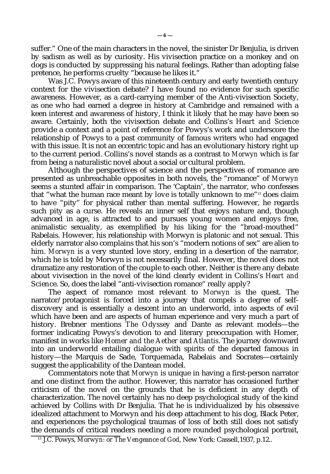suffer." One of the main characters in the novel, the sinister Dr Benjulia, is driven by sadism as well as by curiosity. His vivisection practice on a monkey and on dogs is conducted by suppressing his natural feelings. Rather than adopting false pretence, he performs cruelty "because he likes it."

Was J.C. Powys aware of this nineteenth century and early twentieth century context for the vivisection debate? I have found no evidence for such specific awareness. However, as a card-carrying member of the Anti-vivisection Society, as one who had earned a degree in history at Cambridge and remained with a keen interest and awareness of history, I think it likely that he may have been so aware. Certainly, both the vivisection debate and Collins's *Heart and Science* provide a context and a point of reference for Powys's work and underscore the relationship of Powys to a past community of famous writers who had engaged with this issue. It is not an eccentric topic and has an evolutionary history right up to the current period. Collins's novel stands as a contrast to *Morwyn* which is far from being a naturalistic novel about a social or cultural problem.

Although the perspectives of science and the perspectives of romance are presented as unbreachable opposites in both novels, the "romance" of *Morwyn* seems a stunted affair in comparison. The 'Captain', the narrator, who confesses that "what the human race meant by *love* is totally unknown to me"13 does claim to have "pity" for physical rather than mental suffering. However, he regards such pity as a curse. He reveals an inner self that enjoys nature and, though advanced in age, is attracted to and pursues young women and enjoys free, animalistic sexuality, as exemplified by his liking for the "broad-mouthed" Rabelais. However, his relationship with Morwyn is platonic and not sexual. This elderly narrator also complains that his son's "modern notions of sex" are alien to him. *Morwyn* is a very stunted love story, ending in a desertion of the narrator, which he is told by Morwyn is not necessarily final. However, the novel does not dramatize any restoration of the couple to each other. Neither is there any debate about vivisection in the novel of the kind clearly evident in Collins's *Heart and Science*. So, does the label "anti-vivisection romance" really apply?

The aspect of romance most relevant to *Morwyn* is the quest. The narrator/protagonist is forced into a journey that compels a degree of selfdiscovery and is essentially a descent into an underworld, into aspects of evil which have been and are aspects of human experience and very much a part of history. Brebner mentions *The Odyssey* and Dante as relevant models—the former indicating Powys's devotion to and literary preoccupation with Homer, manifest in works like *Homer and the Aether* and *Atlantis*. The journey downward into an underworld entailing dialogue with spirits of the departed famous in history—the Marquis de Sade, Torquemada, Rabelais and Socrates—certainly suggest the applicability of the Dantean model.

Commentators note that *Morwyn* is unique in having a first-person narrator and one distinct from the author. However, this narrator has occasioned further criticism of the novel on the grounds that he is deficient in any depth of characterization. The novel certainly has no deep psychological study of the kind achieved by Collins with Dr Benjulia. That he is individualized by his obsessive idealized attachment to Morwyn and his deep attachment to his dog, Black Peter, and experiences the psychological traumas of loss of both still does not satisfy the demands of critical readers needing a more rounded psychological portrait,

<sup>&</sup>lt;sup>13</sup> J.C. Powys, *Morwyn: or The Vengeance of God*, New York: Cassell, 1937, p.12..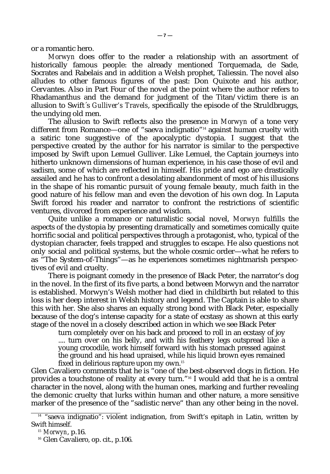or a romantic hero.

*Morwyn* does offer to the reader a relationship with an assortment of historically famous people: the already mentioned Torquemada, de Sade, Socrates and Rabelais and in addition a Welsh prophet, Taliessin. The novel also alludes to other famous figures of the past: Don Quixote and his author, Cervantes. Also in Part Four of the novel at the point where the author refers to Rhadamanthus and the demand for judgment of the Titan/victim there is an allusion to Swift´s *Gulliver's Travels*, specifically the episode of the Struldbruggs, the undying old men.

The allusion to Swift reflects also the presence in *Morwyn* of a tone very different from Romance—one of "saeva indignatio"14 against human cruelty with a satiric tone suggestive of the apocalyptic dystopia. I suggest that the perspective created by the author for his narrator is similar to the perspective imposed by Swift upon Lemuel Gulliver. Like Lemuel, the Captain journeys into hitherto unknown dimensions of human experience, in his case those of evil and sadism, some of which are reflected in himself. His pride and ego are drastically assailed and he has to confront a desolating abandonment of most of his illusions in the shape of his romantic pursuit of young female beauty, much faith in the good nature of his fellow man and even the devotion of his own dog. In Laputa Swift forced his reader and narrator to confront the restrictions of scientific ventures, divorced from experience and wisdom.

Quite unlike a romance or naturalistic social novel, *Morwyn* fulfills the aspects of the dystopia by presenting dramatically and sometimes comically quite horrific social and political perspectives through a protagonist, who, typical of the dystopian character, feels trapped and struggles to escape. He also questions not only social and political systems, but the whole cosmic order—what he refers to as "The System-of-Things"—as he experiences sometimes nightmarish perspectives of evil and cruelty.

There is poignant comedy in the presence of Black Peter, the narrator's dog in the novel. In the first of its five parts, a bond between Morwyn and the narrator is established. Morwyn's Welsh mother had died in childbirth but related to this loss is her deep interest in Welsh history and legend. The Captain is able to share this with her. She also shares an equally strong bond with Black Peter, especially because of the dog's intense capacity for a state of ecstasy as shown at this early stage of the novel in a closely described action in which we see Black Peter

turn completely over on his back and proceed to roll in an ecstasy of joy .... turn over on his belly, and with his feathery legs outspread like a young crocodile, work himself forward with his stomach pressed against the ground and his head upraised, while his liquid brown eyes remained fixed in delirious rapture upon my own.<sup>15</sup>

Glen Cavaliero comments that he is "one of the best-observed dogs in fiction. He provides a touchstone of reality at every turn."16 I would add that he is a central character in the novel, along with the human ones, marking and further revealing the demonic cruelty that lurks within human and other nature, a more sensitive marker of the presence of the "sadistic nerve" than any other being in the novel.

 $14$  "saeva indignatio": violent indignation, from Swift's epitaph in Latin, written by Swift himself.

<sup>15</sup> *Morwyn*, p.16.

<sup>&</sup>lt;sup>16</sup> Glen Cavaliero, op. cit., p.106.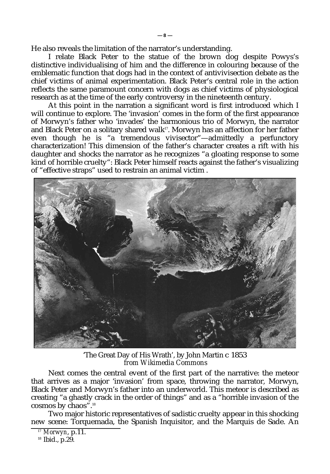He also reveals the limitation of the narrator's understanding.

I relate Black Peter to the statue of the brown dog despite Powys's distinctive individualising of him and the difference in colouring because of the emblematic function that dogs had in the context of antivivisection debate as the chief victims of animal experimentation. Black Peter's central role in the action reflects the same paramount concern with dogs as chief victims of physiological research as at the time of the early controversy in the nineteenth century.

At this point in the narration a significant word is first introduced which I will continue to explore. The 'invasion' comes in the form of the first appearance of Morwyn's father who 'invades' the harmonious trio of Morwyn, the narrator and Black Peter on a solitary shared walk<sup>17</sup>. Morwyn has an affection for her father even though he is "a tremendous vivisector"—admittedly a perfunctory characterization! This dimension of the father's character creates a rift with his daughter and shocks the narrator as he recognizes "a gloating response to some kind of horrible cruelty": Black Peter himself reacts against the father's visualizing of "effective straps" used to restrain an animal victim .



'The Great Day of His Wrath', by John Martin *c* 1853 *from Wikimedia Commons*

Next comes the central event of the first part of the narrative: the meteor that arrives as a major 'invasion' from space, throwing the narrator, Morwyn, Black Peter and Morwyn's father into an underworld. This meteor is described as creating "a ghastly crack in the order of things" and as a "horrible invasion of the cosmos by chaos".<sup>18</sup>

Two major historic representatives of sadistic cruelty appear in this shocking new scene: Torquemada, the Spanish Inquisitor, and the Marquis de Sade. An

<sup>17</sup> *Morwyn*, p.11.

<sup>18</sup> Ibid., p.29.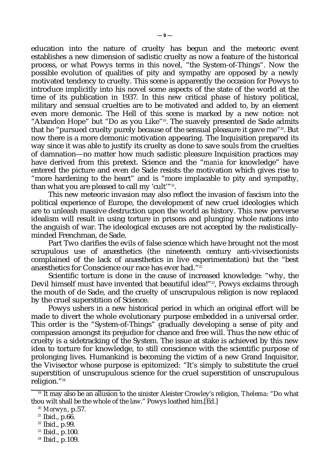education into the nature of cruelty has begun and the meteoric event establishes a new dimension of sadistic cruelty as now a feature of the historical process, or what Powys terms in this novel, "the System-of-Things". Now the possible evolution of qualities of pity and sympathy are opposed by a newly motivated tendency to cruelty. This scene is apparently the occasion for Powys to introduce implicitly into his novel some aspects of the state of the world at the time of its publication in 1937. In this new critical phase of history political, military and sensual cruelties are to be motivated and added to, by an element even more demonic. The Hell of this scene is marked by a new notice: not "Abandon Hope" but "Do as you Like"19. The suavely presented de Sade admits that he "pursued cruelty purely because of the sensual pleasure it gave me"<sup>20</sup>. But now there is a more demonic motivation appearing. The Inquisition prepared its way since it was able to justify its cruelty as done to save souls from the cruelties of damnation—no matter how much sadistic pleasure Inquisition practices may have derived from this pretext. Science and the "*mania* for knowledge" have entered the picture and even de Sade resists the motivation which gives rise to "more hardening to the heart" and is "more implacable to pity and sympathy, than what you are pleased to call my 'cult'"<sup>21</sup> .

This new meteoric invasion may also reflect the invasion of fascism into the political experience of Europe, the development of new cruel ideologies which are to unleash massive destruction upon the world as history. This new perverse idealism will result in using torture in prisons and plunging whole nations into the anguish of war. The ideological excuses are not accepted by the realisticallyminded Frenchman, de Sade.

Part Two clarifies the evils of false science which have brought not the most scrupulous use of anæsthetics (the nineteenth century anti-vivisectionists complained of the lack of anæsthetics in live experimentation) but the "best anæsthetics for Conscience our race has ever had."<sup>22</sup>

Scientific torture is done in the cause of increased knowledge: "why, the Devil himself must have invented that beautiful idea!"<sup>23</sup>, Powys exclaims through the mouth of de Sade, and the cruelty of unscrupulous religion is now replaced by the cruel superstition of Science.

Powys ushers in a new historical period in which an original effort will be made to divert the whole evolutionary purpose embedded in a universal order. This order is the "System-of-Things" gradually developing a sense of pity and compassion amongst its prejudice for chance and free will. Thus the new ethic of cruelty is a sidetracking of the System. The issue at stake is achieved by this new idea to torture for knowledge, to still conscience with the scientific purpose of prolonging lives. Humankind is becoming the victim of a new Grand Inquisitor, the Vivisector whose purpose is epitomized: "It's simply to substitute the cruel superstition of unscrupulous science for the cruel superstition of unscrupulous religion."<sup>24</sup>

<sup>19</sup> It may also be an allusion to the sinister Aleister Crowley's religion, *Thelema*: "Do what thou wilt shall be the whole of the law." Powys loathed him.[Ed.]

<sup>20</sup> *Morwyn*, p.57.

<sup>21</sup> Ibid., p.66.

<sup>22</sup> Ibid., p.99.

<sup>23</sup> Ibid., p.100.

<sup>24</sup> Ibid., p.109.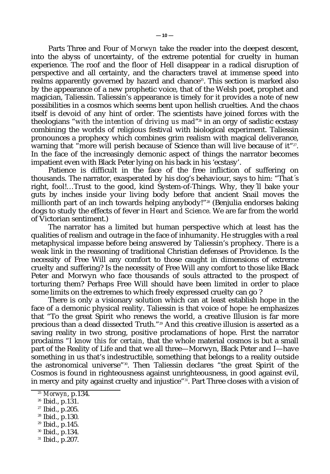Parts Three and Four of *Morwyn* take the reader into the deepest descent, into the abyss of uncertainty, of the extreme potential for cruelty in human experience. The roof and the floor of Hell disappear in a radical disruption of perspective and all certainty, and the characters travel at immense speed into realms apparently governed by hazard and chance<sup>25</sup>. This section is marked also by the appearance of a new prophetic voice, that of the Welsh poet, prophet and magician, Taliessin. Taliessin's appearance is timely for it provides a note of new possibilities in a cosmos which seems bent upon hellish cruelties. And the chaos itself is devoid of any hint of order. The scientists have joined forces with the theologians "*with the intention of driving us mad*" <sup>26</sup> in an orgy of sadistic ecstasy combining the worlds of religious festival with biological experiment. Taliessin pronounces a prophecy which combines grim realism with magical deliverance, warning that "more will perish because of Science than will live because of it"27. In the face of the increasingly demonic aspect of things the narrator becomes impatient even with Black Peter lying on his back in his 'ecstasy'.

Patience is difficult in the face of the free infliction of suffering on thousands. The narrator, exasperated by his dog's behaviour, says to him: "That´s right, fool!…Trust to the good, kind System-of-Things. Why, they´ll bake your guts by inches inside your living body before that ancient Snail moves the millionth part of an inch towards helping anybody!"<sup>28</sup> (Benjulia endorses baking dogs to study the effects of fever in *Heart and Science*. We are far from the world of Victorian sentiment.)

The narrator has a limited but human perspective which at least has the qualities of realism and outrage in the face of inhumanity. He struggles with a real metaphysical impasse before being answered by Taliessin's prophecy. There is a weak link in the reasoning of traditional Christian defenses of Providence. Is the necessity of Free Will any comfort to those caught in dimensions of extreme cruelty and suffering? Is the necessity of Free Will any comfort to those like Black Peter and Morwyn who face thousands of souls attracted to the prospect of torturing them? Perhaps Free Will should have been limited in order to place some limits on the extremes to which freely expressed cruelty can go ?

There is only a visionary solution which can at least establish hope in the face of a demonic physical reality. Taliessin is that voice of hope: he emphasizes that "To the great Spirit who renews the world, a creative Illusion is far more precious than a dead dissected Truth."29 And this creative illusion is asserted as a saving reality in two strong, positive proclamations of hope. First the narrator proclaims "*I know this for certain,* that the whole material cosmos is but a small part of the Reality of Life and that we all three—Morwyn, Black Peter and I—have something in us that's indestructible, something that belongs to a reality outside the astronomical universe"30. Then Taliessin declares "the great Spirit of the Cosmos is found in righteousness against unrighteousness, in good against evil, in mercy and pity against cruelty and injustice"<sup>31</sup>. Part Three closes with a vision of

- <sup>30</sup> Ibid., p.134.
- <sup>31</sup> Ibid., p.207.

<sup>25</sup> *Morwyn*, p.134.

<sup>26</sup> Ibid., p.131.

<sup>27</sup> Ibid., p.205.

<sup>28</sup> Ibid., p.130.

<sup>29</sup> Ibid., p.145.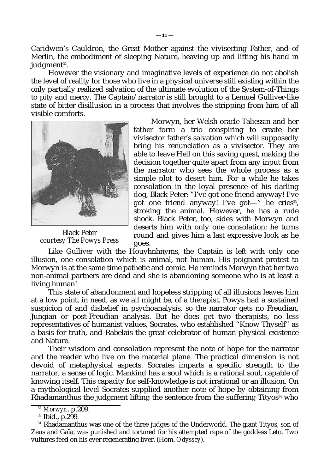Caridwen's Cauldron, the Great Mother against the vivisecting Father, and of Merlin, the embodiment of sleeping Nature, heaving up and lifting his hand in judgment $^{\scriptscriptstyle 32}$ .

However the visionary and imaginative levels of experience do not abolish the level of reality for those who live in a physical universe still existing within the only partially realized salvation of the ultimate evolution of the System-of-Things to pity and mercy. The Captain/narrator is still brought to a Lemuel Gulliver-like state of bitter disillusion in a process that involves the stripping from him of all visible comforts.



Black Peter *courtesy The Powys Press*

Morwyn, her Welsh oracle Taliessin and her father form a trio conspiring to create her vivisector father's salvation which will supposedly bring his renunciation as a vivisector. They are able to leave Hell on this saving quest, making the decision together quite apart from any input from the narrator who sees the whole process as a simple plot to desert him. For a while he takes consolation in the loyal presence of his darling dog, Black Peter: "I've got one friend anyway! I've got one friend anyway! I've got—" he cries33, stroking the animal. However, he has a rude shock. Black Peter, too, sides with Morwyn and deserts him with only one consolation: he turns round and gives him a last expressive look as he goes.

Like Gulliver with the Houyhnhnyms, the Captain is left with only one illusion, one consolation which is animal, not human. His poignant protest to Morwyn is at the same time pathetic and comic. He reminds Morwyn that her two non-animal partners are dead and she is abandoning someone who is at least a living human!

This state of abandonment and hopeless stripping of all illusions leaves him at a low point, in need, as we all might be, of a therapist. Powys had a sustained suspicion of and disbelief in psychoanalysis, so the narrator gets no Freudian, Jungian or post-Freudian analysis. But he does get two therapists, no less representatives of humanist values, Socrates, who established "Know Thyself" as a basis for truth, and Rabelais the great celebrator of human physical existence and Nature.

Their wisdom and consolation represent the note of hope for the narrator and the reader who live on the material plane. The practical dimension is not devoid of metaphysical aspects. Socrates imparts a specific strength to the narrator, a sense of logic. Mankind has a soul which is a rational soul, capable of knowing itself. This capacity for self-knowledge is not irrational or an illusion. On a mythological level Socrates supplied another note of hope by obtaining from Rhadamanthus the judgment lifting the sentence from the suffering Tityos $34$  who

<sup>32</sup> *Morwyn*, p.209.

<sup>33</sup> Ibid., p.299.

<sup>&</sup>lt;sup>34</sup> Rhadamanthus was one of the three judges of the Underworld. The giant Tityos, son of Zeus and Gaïa, was punished and tortured for his attempted rape of the goddess Leto. Two vultures feed on his ever regenerating liver. (Hom. *Odyssey*).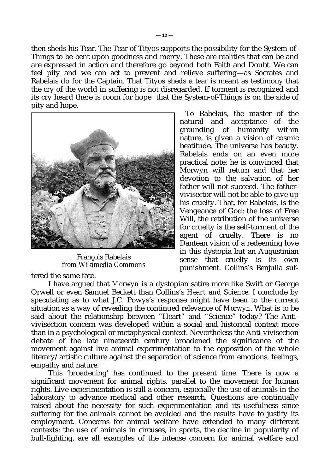then sheds his Tear. The Tear of Tityos supports the possibility for the System-of-Things to be bent upon goodness and mercy. These are realities that can be and are expressed in action and therefore go beyond both Faith and Doubt. We can feel pity and we can act to prevent and relieve suffering—as Socrates and Rabelais do for the Captain. That Tityos sheds a tear is meant as testimony that the cry of the world in suffering is not disregarded. If torment is recognized and its cry heard there is room for hope that the System-of-Things is on the side of pity and hope.



François Rabelais *from Wikimedia Commons*

To Rabelais, the master of the natural and acceptance of the grounding of humanity within nature, is given a vision of cosmic beatitude. The universe has beauty. Rabelais ends on an even more practical note: he is convinced that Morwyn will return and that her devotion to the salvation of her father will not succeed. The fathervivisector will not be able to give up his cruelty. That, for Rabelais, is the Vengeance of God: the loss of Free Will, the retribution of the universe for cruelty is the self-torment of the agent of cruelty. There is no Dantean vision of a redeeming love in this dystopia but an Augustinian sense that cruelty is its own punishment. Collins's Benjulia suf-

fered the same fate.

I have argued that *Morwyn* is a dystopian satire more like Swift or George Orwell or even Samuel Beckett than Collins's *Heart and Science*. I conclude by speculating as to what J.C. Powys's response might have been to the current situation as a way of revealing the continued relevance of *Morwyn*. What is to be said about the relationship between "Heart" and "Science" today? The Antivivisection concern was developed within a social and historical context more than in a psychological or metaphysical context. Nevertheless the Anti-vivisection debate of the late nineteenth century broadened the significance of the movement against live animal experimentation to the opposition of the whole literary/artistic culture against the separation of science from emotions, feelings, empathy and nature.

This 'broadening' has continued to the present time. There is now a significant movement for animal rights, parallel to the movement for human rights. Live experimentation is still a concern, especially the use of animals in the laboratory to advance medical and other research. Questions are continually raised about the necessity for such experimentation and its usefulness since suffering for the animals cannot be avoided and the results have to justify its employment. Concerns for animal welfare have extended to many different contexts: the use of animals in circuses, in sports, the decline in popularity of bull-fighting, are all examples of the intense concern for animal welfare and